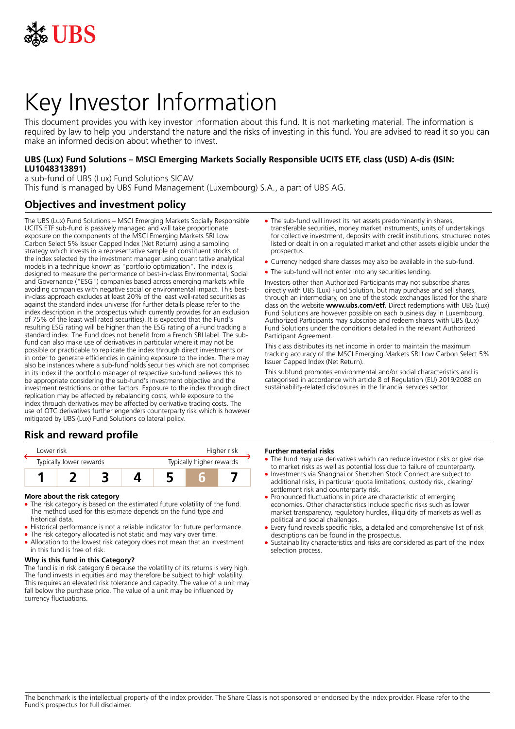

# Key Investor Information

This document provides you with key investor information about this fund. It is not marketing material. The information is required by law to help you understand the nature and the risks of investing in this fund. You are advised to read it so you can make an informed decision about whether to invest.

## **UBS (Lux) Fund Solutions – MSCI Emerging Markets Socially Responsible UCITS ETF, class (USD) A-dis (ISIN: LU1048313891)**

a sub-fund of UBS (Lux) Fund Solutions SICAV This fund is managed by UBS Fund Management (Luxembourg) S.A., a part of UBS AG.

# **Objectives and investment policy**

The UBS (Lux) Fund Solutions – MSCI Emerging Markets Socially Responsible UCITS ETF sub-fund is passively managed and will take proportionate exposure on the components of the MSCI Emerging Markets SRI Low Carbon Select 5% Issuer Capped Index (Net Return) using a sampling strategy which invests in a representative sample of constituent stocks of the index selected by the investment manager using quantitative analytical models in a technique known as "portfolio optimization". The index is designed to measure the performance of best-in-class Environmental, Social and Governance ("ESG") companies based across emerging markets while avoiding companies with negative social or environmental impact. This bestin-class approach excludes at least 20% of the least well-rated securities as against the standard index universe (for further details please refer to the index description in the prospectus which currently provides for an exclusion of 75% of the least well rated securities). It is expected that the Fund's resulting ESG rating will be higher than the ESG rating of a Fund tracking a standard index. The Fund does not benefit from a French SRI label. The subfund can also make use of derivatives in particular where it may not be possible or practicable to replicate the index through direct investments or in order to generate efficiencies in gaining exposure to the index. There may also be instances where a sub-fund holds securities which are not comprised in its index if the portfolio manager of respective sub-fund believes this to be appropriate considering the sub-fund's investment objective and the investment restrictions or other factors. Exposure to the index through direct replication may be affected by rebalancing costs, while exposure to the index through derivatives may be affected by derivative trading costs. The use of OTC derivatives further engenders counterparty risk which is however mitigated by UBS (Lux) Fund Solutions collateral policy.

# **Risk and reward profile**



#### **More about the risk category**

- The risk category is based on the estimated future volatility of the fund. The method used for this estimate depends on the fund type and historical data.
- Historical performance is not a reliable indicator for future performance.
- The risk category allocated is not static and may vary over time.
- Allocation to the lowest risk category does not mean that an investment in this fund is free of risk.

## **Why is this fund in this Category?**

The fund is in risk category 6 because the volatility of its returns is very high. The fund invests in equities and may therefore be subject to high volatility. This requires an elevated risk tolerance and capacity. The value of a unit may fall below the purchase price. The value of a unit may be influenced by currency fluctuations.

- The sub-fund will invest its net assets predominantly in shares, transferable securities, money market instruments, units of undertakings for collective investment, deposits with credit institutions, structured notes listed or dealt in on a regulated market and other assets eligible under the prospectus.
- Currency hedged share classes may also be available in the sub-fund.
- The sub-fund will not enter into any securities lending.

Investors other than Authorized Participants may not subscribe shares directly with UBS (Lux) Fund Solution, but may purchase and sell shares, through an intermediary, on one of the stock exchanges listed for the share class on the website **www.ubs.com/etf.** Direct redemptions with UBS (Lux) Fund Solutions are however possible on each business day in Luxembourg. Authorized Participants may subscribe and redeem shares with UBS (Lux) Fund Solutions under the conditions detailed in the relevant Authorized Participant Agreement.

This class distributes its net income in order to maintain the maximum tracking accuracy of the MSCI Emerging Markets SRI Low Carbon Select 5% Issuer Capped Index (Net Return).

This subfund promotes environmental and/or social characteristics and is categorised in accordance with article 8 of Regulation (EU) 2019/2088 on sustainability‐related disclosures in the financial services sector.

#### **Further material risks**

- The fund may use derivatives which can reduce investor risks or give rise to market risks as well as potential loss due to failure of counterparty.
- Investments via Shanghai or Shenzhen Stock Connect are subject to additional risks, in particular quota limitations, custody risk, clearing/ settlement risk and counterparty risk.
- Pronounced fluctuations in price are characteristic of emerging economies. Other characteristics include specific risks such as lower market transparency, regulatory hurdles, illiquidity of markets as well as political and social challenges.
- Every fund reveals specific risks, a detailed and comprehensive list of risk descriptions can be found in the prospectus.
- 5 Sustainability characteristics and risks are considered as part of the Index selection process.